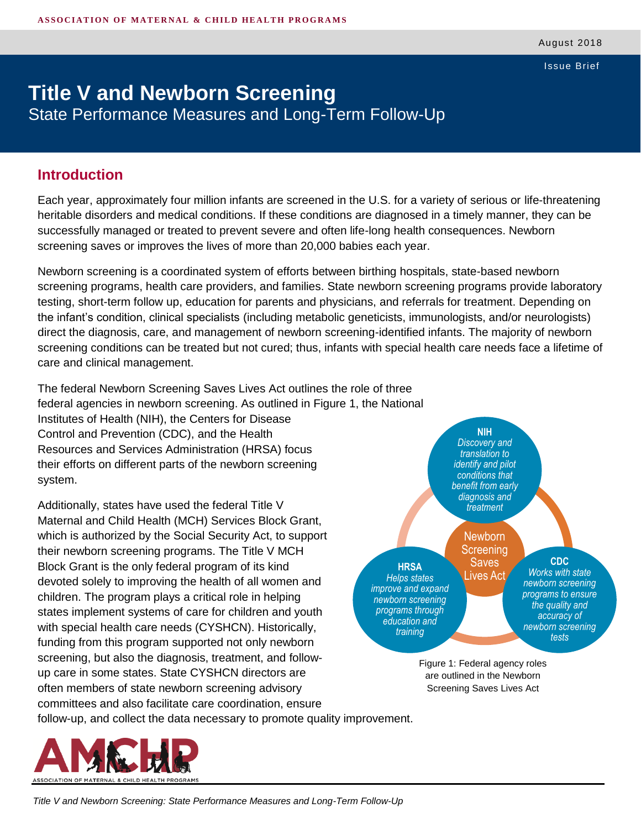Issue Brief

# **Title V and Newborn Screening** State Performance Measures and Long-Term Follow-Up

#### **Introduction**

Each year, approximately four million infants are screened in the U.S. for a variety of serious or life-threatening heritable disorders and medical conditions. If these conditions are diagnosed in a timely manner, they can be successfully managed or treated to prevent severe and often life-long health consequences. Newborn screening saves or improves the lives of more than 20,000 babies each year.

Newborn screening is a coordinated system of efforts between birthing hospitals, state-based newborn screening programs, health care providers, and families. State newborn screening programs provide laboratory testing, short-term follow up, education for parents and physicians, and referrals for treatment. Depending on the infant's condition, clinical specialists (including metabolic geneticists, immunologists, and/or neurologists) direct the diagnosis, care, and management of newborn screening-identified infants. The majority of newborn screening conditions can be treated but not cured; thus, infants with special health care needs face a lifetime of care and clinical management.

The federal Newborn Screening Saves Lives Act outlines the role of three federal agencies in newborn screening. As outlined in Figure 1, the National Institutes of Health (NIH), the Centers for Disease Control and Prevention (CDC), and the Health Resources and Services Administration (HRSA) focus their efforts on different parts of the newborn screening system.

Additionally, states have used the federal Title V Maternal and Child Health (MCH) Services Block Grant, which is authorized by the Social Security Act, to support their newborn screening programs. The Title V MCH Block Grant is the only federal program of its kind devoted solely to improving the health of all women and children. The program plays a critical role in helping states implement systems of care for children and youth with special health care needs (CYSHCN). Historically, funding from this program supported not only newborn screening, but also the diagnosis, treatment, and followup care in some states. State CYSHCN directors are often members of state newborn screening advisory committees and also facilitate care coordination, ensure



Figure 1: Federal agency roles are outlined in the Newborn Screening Saves Lives Act

follow-up, and collect the data necessary to promote quality improvement.

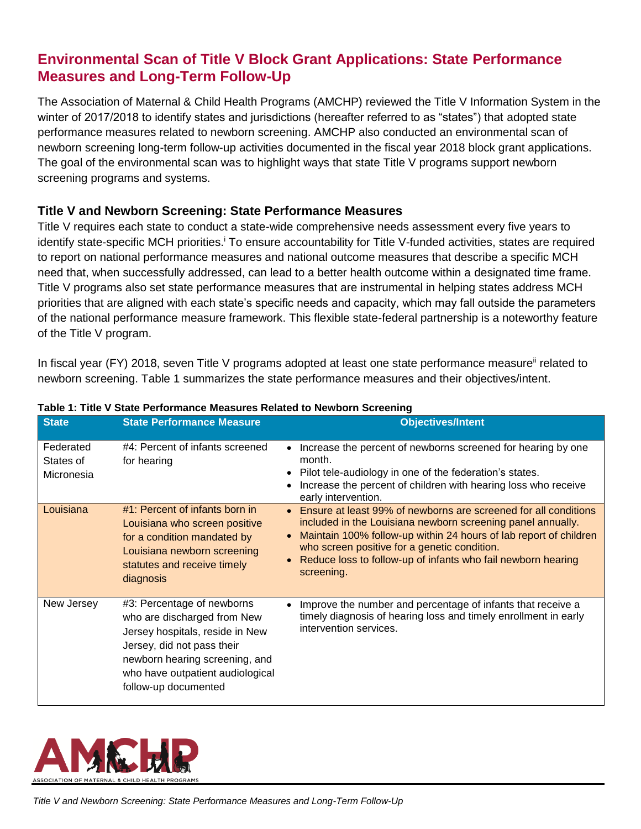# **Environmental Scan of Title V Block Grant Applications: State Performance Measures and Long-Term Follow-Up**

The Association of Maternal & Child Health Programs (AMCHP) reviewed the Title V Information System in the winter of 2017/2018 to identify states and jurisdictions (hereafter referred to as "states") that adopted state performance measures related to newborn screening. AMCHP also conducted an environmental scan of newborn screening long-term follow-up activities documented in the fiscal year 2018 block grant applications. The goal of the environmental scan was to highlight ways that state Title V programs support newborn screening programs and systems.

#### **Title V and Newborn Screening: State Performance Measures**

Title V requires each state to conduct a state-wide comprehensive needs assessment every five years to identify state-specific MCH priorities.<sup>i</sup> To ensure accountability for Title V-funded activities, states are required to report on national performance measures and national outcome measures that describe a specific MCH need that, when successfully addressed, can lead to a better health outcome within a designated time frame. Title V programs also set state performance measures that are instrumental in helping states address MCH priorities that are aligned with each state's specific needs and capacity, which may fall outside the parameters of the national performance measure framework. This flexible state-federal partnership is a noteworthy feature of the Title V program.

In fiscal year (FY) 2018, seven Title V programs adopted at least one state performance measure<sup>ii</sup> related to newborn screening. Table 1 summarizes the state performance measures and their objectives/intent.

| <b>State</b>                         | <b>State Performance Measure</b>                                                                                                                                                                                         | <b>Objectives/Intent</b>                                                                                                                                                                                                                                                                                                                       |
|--------------------------------------|--------------------------------------------------------------------------------------------------------------------------------------------------------------------------------------------------------------------------|------------------------------------------------------------------------------------------------------------------------------------------------------------------------------------------------------------------------------------------------------------------------------------------------------------------------------------------------|
| Federated<br>States of<br>Micronesia | #4: Percent of infants screened<br>for hearing                                                                                                                                                                           | Increase the percent of newborns screened for hearing by one<br>month.<br>Pilot tele-audiology in one of the federation's states.<br>Increase the percent of children with hearing loss who receive<br>early intervention.                                                                                                                     |
| Louisiana                            | $#1$ : Percent of infants born in<br>Louisiana who screen positive<br>for a condition mandated by<br>Louisiana newborn screening<br>statutes and receive timely<br>diagnosis                                             | Ensure at least 99% of newborns are screened for all conditions<br>$\bullet$<br>included in the Louisiana newborn screening panel annually.<br>Maintain 100% follow-up within 24 hours of lab report of children<br>who screen positive for a genetic condition.<br>Reduce loss to follow-up of infants who fail newborn hearing<br>screening. |
| New Jersey                           | #3: Percentage of newborns<br>who are discharged from New<br>Jersey hospitals, reside in New<br>Jersey, did not pass their<br>newborn hearing screening, and<br>who have outpatient audiological<br>follow-up documented | Improve the number and percentage of infants that receive a<br>timely diagnosis of hearing loss and timely enrollment in early<br>intervention services.                                                                                                                                                                                       |

#### **Table 1: Title V State Performance Measures Related to Newborn Screening**

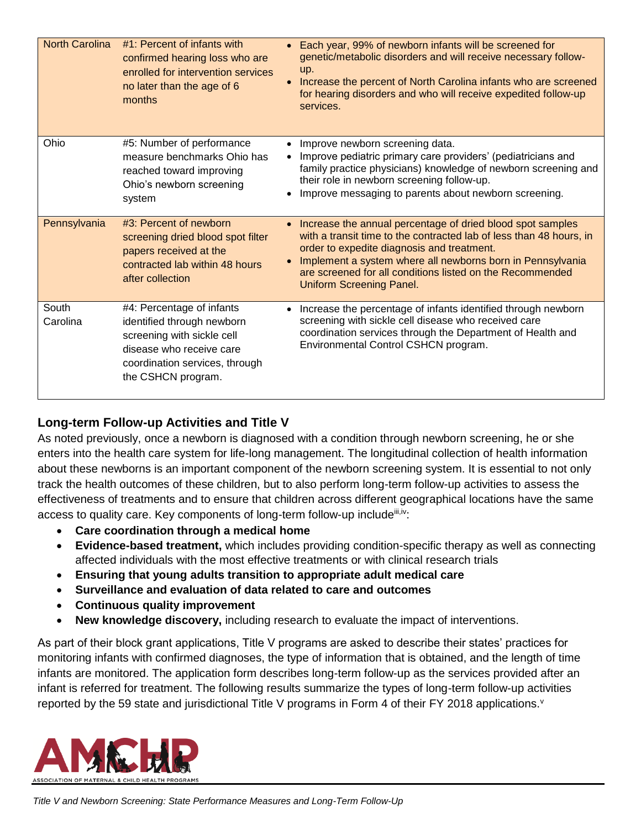| <b>North Carolina</b> | #1: Percent of infants with<br>confirmed hearing loss who are<br>enrolled for intervention services<br>no later than the age of 6<br>months                               | • Each year, 99% of newborn infants will be screened for<br>genetic/metabolic disorders and will receive necessary follow-<br>up.<br>Increase the percent of North Carolina infants who are screened<br>for hearing disorders and who will receive expedited follow-up<br>services.                                                             |
|-----------------------|---------------------------------------------------------------------------------------------------------------------------------------------------------------------------|-------------------------------------------------------------------------------------------------------------------------------------------------------------------------------------------------------------------------------------------------------------------------------------------------------------------------------------------------|
| Ohio                  | #5: Number of performance<br>measure benchmarks Ohio has<br>reached toward improving<br>Ohio's newborn screening<br>system                                                | Improve newborn screening data.<br>$\bullet$<br>Improve pediatric primary care providers' (pediatricians and<br>family practice physicians) knowledge of newborn screening and<br>their role in newborn screening follow-up.<br>Improve messaging to parents about newborn screening.                                                           |
| Pennsylvania          | #3: Percent of newborn<br>screening dried blood spot filter<br>papers received at the<br>contracted lab within 48 hours<br>after collection                               | • Increase the annual percentage of dried blood spot samples<br>with a transit time to the contracted lab of less than 48 hours, in<br>order to expedite diagnosis and treatment.<br>Implement a system where all newborns born in Pennsylvania<br>are screened for all conditions listed on the Recommended<br><b>Uniform Screening Panel.</b> |
| South<br>Carolina     | #4: Percentage of infants<br>identified through newborn<br>screening with sickle cell<br>disease who receive care<br>coordination services, through<br>the CSHCN program. | Increase the percentage of infants identified through newborn<br>screening with sickle cell disease who received care<br>coordination services through the Department of Health and<br>Environmental Control CSHCN program.                                                                                                                     |

### **Long-term Follow-up Activities and Title V**

As noted previously, once a newborn is diagnosed with a condition through newborn screening, he or she enters into the health care system for life-long management. The longitudinal collection of health information about these newborns is an important component of the newborn screening system. It is essential to not only track the health outcomes of these children, but to also perform long-term follow-up activities to assess the effectiveness of treatments and to ensure that children across different geographical locations have the same access to quality care. Key components of long-term follow-up include<sup>iii,iv</sup>:

- **Care coordination through a medical home**
- **Evidence-based treatment,** which includes providing condition-specific therapy as well as connecting affected individuals with the most effective treatments or with clinical research trials
- **Ensuring that young adults transition to appropriate adult medical care**
- **Surveillance and evaluation of data related to care and outcomes**
- **Continuous quality improvement**
- **New knowledge discovery,** including research to evaluate the impact of interventions.

As part of their block grant applications, Title V programs are asked to describe their states' practices for monitoring infants with confirmed diagnoses, the type of information that is obtained, and the length of time infants are monitored. The application form describes long-term follow-up as the services provided after an infant is referred for treatment. The following results summarize the types of long-term follow-up activities reported by the 59 state and jurisdictional Title V programs in Form 4 of their FY 2018 applications. $v$ 

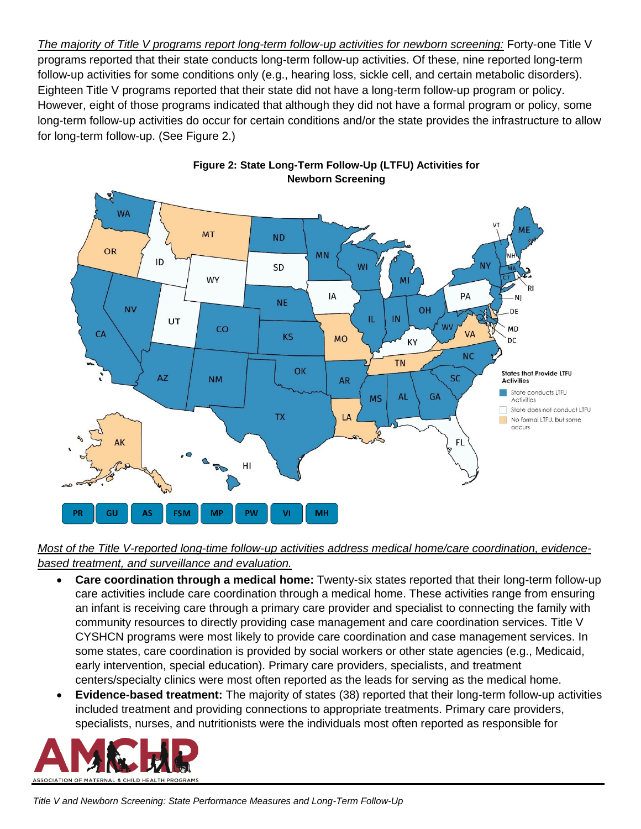*The majority of Title V programs report long-term follow-up activities for newborn screening:* Forty-one Title V programs reported that their state conducts long-term follow-up activities. Of these, nine reported long-term follow-up activities for some conditions only (e.g., hearing loss, sickle cell, and certain metabolic disorders). Eighteen Title V programs reported that their state did not have a long-term follow-up program or policy. However, eight of those programs indicated that although they did not have a formal program or policy, some long-term follow-up activities do occur for certain conditions and/or the state provides the infrastructure to allow for long-term follow-up. (See Figure 2.)





*Most of the Title V-reported long-time follow-up activities address medical home/care coordination, evidencebased treatment, and surveillance and evaluation.*

- **Care coordination through a medical home:** Twenty-six states reported that their long-term follow-up care activities include care coordination through a medical home. These activities range from ensuring an infant is receiving care through a primary care provider and specialist to connecting the family with community resources to directly providing case management and care coordination services. Title V CYSHCN programs were most likely to provide care coordination and case management services. In some states, care coordination is provided by social workers or other state agencies (e.g., Medicaid, early intervention, special education). Primary care providers, specialists, and treatment centers/specialty clinics were most often reported as the leads for serving as the medical home.
- **Evidence-based treatment:** The majority of states (38) reported that their long-term follow-up activities included treatment and providing connections to appropriate treatments. Primary care providers, specialists, nurses, and nutritionists were the individuals most often reported as responsible for

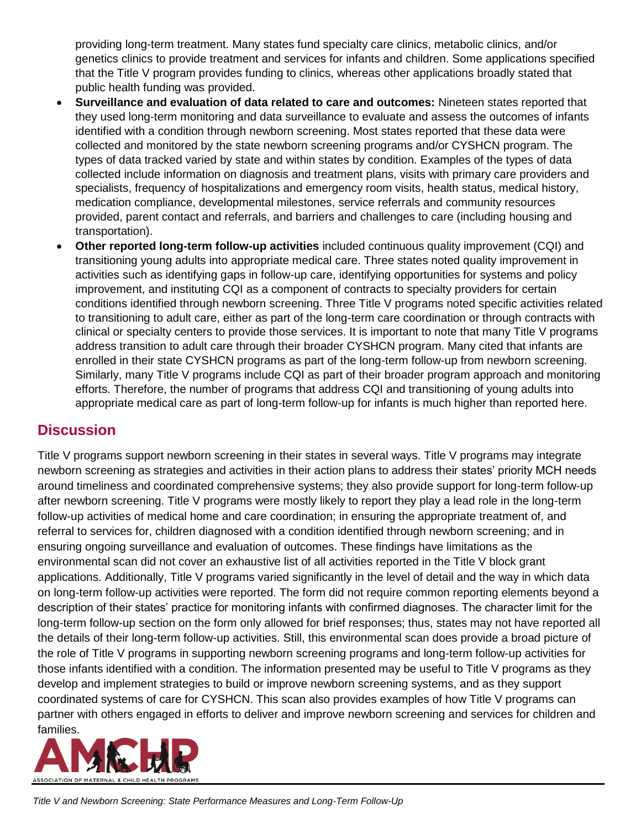providing long-term treatment. Many states fund specialty care clinics, metabolic clinics, and/or genetics clinics to provide treatment and services for infants and children. Some applications specified that the Title V program provides funding to clinics, whereas other applications broadly stated that public health funding was provided.

- **Surveillance and evaluation of data related to care and outcomes:** Nineteen states reported that they used long-term monitoring and data surveillance to evaluate and assess the outcomes of infants identified with a condition through newborn screening. Most states reported that these data were collected and monitored by the state newborn screening programs and/or CYSHCN program. The types of data tracked varied by state and within states by condition. Examples of the types of data collected include information on diagnosis and treatment plans, visits with primary care providers and specialists, frequency of hospitalizations and emergency room visits, health status, medical history, medication compliance, developmental milestones, service referrals and community resources provided, parent contact and referrals, and barriers and challenges to care (including housing and transportation).
- **Other reported long-term follow-up activities** included continuous quality improvement (CQI) and transitioning young adults into appropriate medical care. Three states noted quality improvement in activities such as identifying gaps in follow-up care, identifying opportunities for systems and policy improvement, and instituting CQI as a component of contracts to specialty providers for certain conditions identified through newborn screening. Three Title V programs noted specific activities related to transitioning to adult care, either as part of the long-term care coordination or through contracts with clinical or specialty centers to provide those services. It is important to note that many Title V programs address transition to adult care through their broader CYSHCN program. Many cited that infants are enrolled in their state CYSHCN programs as part of the long-term follow-up from newborn screening. Similarly, many Title V programs include CQI as part of their broader program approach and monitoring efforts. Therefore, the number of programs that address CQI and transitioning of young adults into appropriate medical care as part of long-term follow-up for infants is much higher than reported here.

# **Discussion**

Title V programs support newborn screening in their states in several ways. Title V programs may integrate newborn screening as strategies and activities in their action plans to address their states' priority MCH needs around timeliness and coordinated comprehensive systems; they also provide support for long-term follow-up after newborn screening. Title V programs were mostly likely to report they play a lead role in the long-term follow-up activities of medical home and care coordination; in ensuring the appropriate treatment of, and referral to services for, children diagnosed with a condition identified through newborn screening; and in ensuring ongoing surveillance and evaluation of outcomes. These findings have limitations as the environmental scan did not cover an exhaustive list of all activities reported in the Title V block grant applications. Additionally, Title V programs varied significantly in the level of detail and the way in which data on long-term follow-up activities were reported. The form did not require common reporting elements beyond a description of their states' practice for monitoring infants with confirmed diagnoses. The character limit for the long-term follow-up section on the form only allowed for brief responses; thus, states may not have reported all the details of their long-term follow-up activities. Still, this environmental scan does provide a broad picture of the role of Title V programs in supporting newborn screening programs and long-term follow-up activities for those infants identified with a condition. The information presented may be useful to Title V programs as they develop and implement strategies to build or improve newborn screening systems, and as they support coordinated systems of care for CYSHCN. This scan also provides examples of how Title V programs can partner with others engaged in efforts to deliver and improve newborn screening and services for children and families.